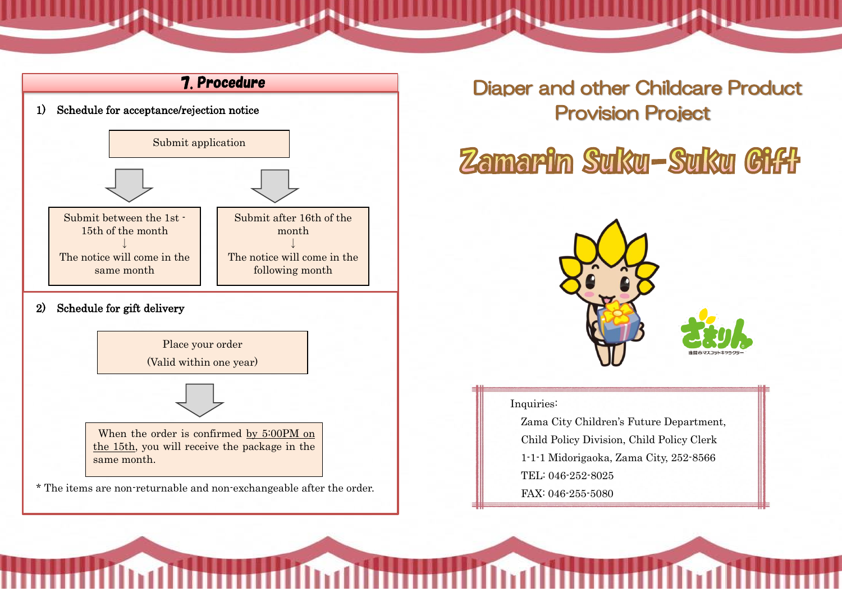

**Diaper and other Childcare Product<br>Provision Project** 

# Zamarin Suku-Suku Giff



#### Inquiries:

Zama City Children's Future Department, Child Policy Division, Child Policy Clerk 1-1-1 Midorigaoka, Zama City, 252-8566 TEL: 046-252-8025 FAX: 046-255-5080